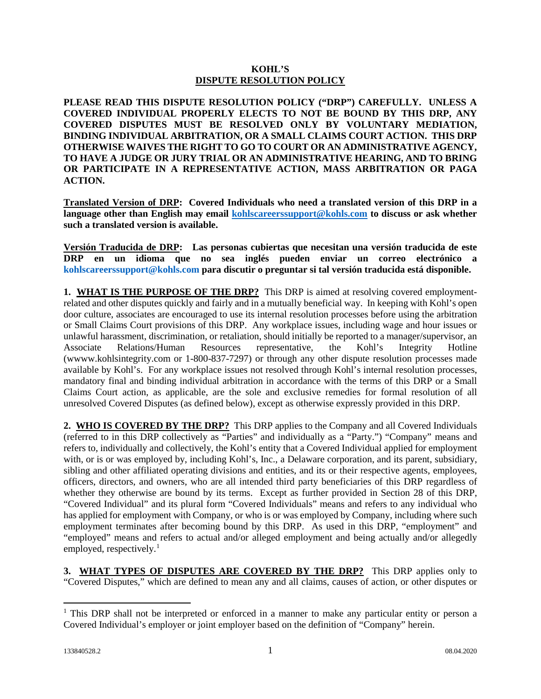## **KOHL'S DISPUTE RESOLUTION POLICY**

**PLEASE READ THIS DISPUTE RESOLUTION POLICY ("DRP") CAREFULLY. UNLESS A COVERED INDIVIDUAL PROPERLY ELECTS TO NOT BE BOUND BY THIS DRP, ANY COVERED DISPUTES MUST BE RESOLVED ONLY BY VOLUNTARY MEDIATION, BINDING INDIVIDUAL ARBITRATION, OR A SMALL CLAIMS COURT ACTION. THIS DRP OTHERWISE WAIVES THE RIGHT TO GO TO COURT OR AN ADMINISTRATIVE AGENCY, TO HAVE A JUDGE OR JURY TRIAL OR AN ADMINISTRATIVE HEARING, AND TO BRING OR PARTICIPATE IN A REPRESENTATIVE ACTION, MASS ARBITRATION OR PAGA ACTION.** 

**Translated Version of DRP: Covered Individuals who need a translated version of this DRP in a language other than English may email [kohlscareerssupport@kohls.com](mailto:kohlscareerssupport@kohls.com) to discuss or ask whether such a translated version is available.**

**Versión Traducida de DRP: Las personas cubiertas que necesitan una versión traducida de este DRP en un idioma que no sea inglés pueden enviar un correo electrónico a [kohlscareerssupport@kohls.com](mailto:kohlscareerssupport@kohls.com) para discutir o preguntar si tal versión traducida está disponible.**

**1. WHAT IS THE PURPOSE OF THE DRP?** This DRP is aimed at resolving covered employmentrelated and other disputes quickly and fairly and in a mutually beneficial way. In keeping with Kohl's open door culture, associates are encouraged to use its internal resolution processes before using the arbitration or Small Claims Court provisions of this DRP. Any workplace issues, including wage and hour issues or unlawful harassment, discrimination, or retaliation, should initially be reported to a manager/supervisor, an Associate Relations/Human Resources representative, the Kohl's Integrity Hotline (wwww.kohlsintegrity.com or 1-800-837-7297) or through any other dispute resolution processes made available by Kohl's. For any workplace issues not resolved through Kohl's internal resolution processes, mandatory final and binding individual arbitration in accordance with the terms of this DRP or a Small Claims Court action, as applicable, are the sole and exclusive remedies for formal resolution of all unresolved Covered Disputes (as defined below), except as otherwise expressly provided in this DRP.

**2. WHO IS COVERED BY THE DRP?** This DRP applies to the Company and all Covered Individuals (referred to in this DRP collectively as "Parties" and individually as a "Party.") "Company" means and refers to, individually and collectively, the Kohl's entity that a Covered Individual applied for employment with, or is or was employed by, including Kohl's, Inc., a Delaware corporation, and its parent, subsidiary, sibling and other affiliated operating divisions and entities, and its or their respective agents, employees, officers, directors, and owners, who are all intended third party beneficiaries of this DRP regardless of whether they otherwise are bound by its terms. Except as further provided in Section 28 of this DRP, "Covered Individual" and its plural form "Covered Individuals" means and refers to any individual who has applied for employment with Company, or who is or was employed by Company, including where such employment terminates after becoming bound by this DRP. As used in this DRP, "employment" and "employed" means and refers to actual and/or alleged employment and being actually and/or allegedly employed, respectively.<sup>[1](#page-0-0)</sup>

**3. WHAT TYPES OF DISPUTES ARE COVERED BY THE DRP?** This DRP applies only to "Covered Disputes," which are defined to mean any and all claims, causes of action, or other disputes or

l

<span id="page-0-0"></span><sup>&</sup>lt;sup>1</sup> This DRP shall not be interpreted or enforced in a manner to make any particular entity or person a Covered Individual's employer or joint employer based on the definition of "Company" herein.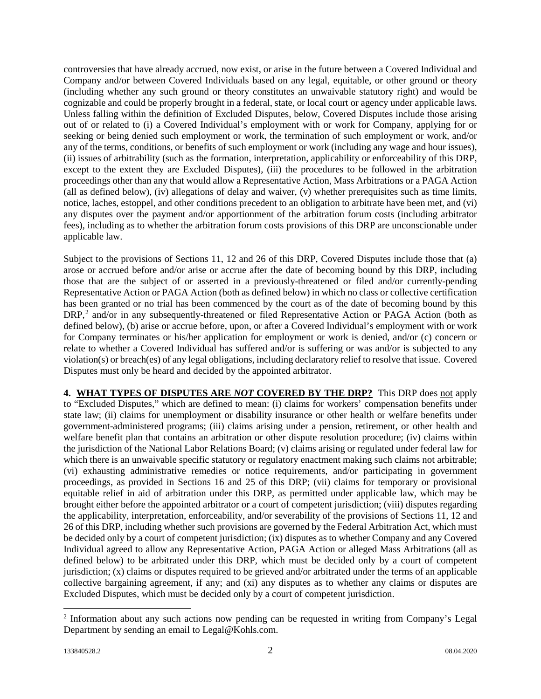controversies that have already accrued, now exist, or arise in the future between a Covered Individual and Company and/or between Covered Individuals based on any legal, equitable, or other ground or theory (including whether any such ground or theory constitutes an unwaivable statutory right) and would be cognizable and could be properly brought in a federal, state, or local court or agency under applicable laws. Unless falling within the definition of Excluded Disputes, below, Covered Disputes include those arising out of or related to (i) a Covered Individual's employment with or work for Company, applying for or seeking or being denied such employment or work, the termination of such employment or work, and/or any of the terms, conditions, or benefits of such employment or work (including any wage and hour issues), (ii) issues of arbitrability (such as the formation, interpretation, applicability or enforceability of this DRP, except to the extent they are Excluded Disputes), (iii) the procedures to be followed in the arbitration proceedings other than any that would allow a Representative Action, Mass Arbitrations or a PAGA Action (all as defined below), (iv) allegations of delay and waiver, (v) whether prerequisites such as time limits, notice, laches, estoppel, and other conditions precedent to an obligation to arbitrate have been met, and (vi) any disputes over the payment and/or apportionment of the arbitration forum costs (including arbitrator fees), including as to whether the arbitration forum costs provisions of this DRP are unconscionable under applicable law.

Subject to the provisions of Sections 11, 12 and 26 of this DRP, Covered Disputes include those that (a) arose or accrued before and/or arise or accrue after the date of becoming bound by this DRP, including those that are the subject of or asserted in a previously-threatened or filed and/or currently-pending Representative Action or PAGA Action (both as defined below) in which no class or collective certification has been granted or no trial has been commenced by the court as of the date of becoming bound by this DRP,<sup>[2](#page-1-0)</sup> and/or in any subsequently-threatened or filed Representative Action or PAGA Action (both as defined below), (b) arise or accrue before, upon, or after a Covered Individual's employment with or work for Company terminates or his/her application for employment or work is denied, and/or (c) concern or relate to whether a Covered Individual has suffered and/or is suffering or was and/or is subjected to any violation(s) or breach(es) of any legal obligations, including declaratory relief to resolve that issue. Covered Disputes must only be heard and decided by the appointed arbitrator.

**4. WHAT TYPES OF DISPUTES ARE** *NOT* **COVERED BY THE DRP?** This DRP does not apply to "Excluded Disputes," which are defined to mean: (i) claims for workers' compensation benefits under state law; (ii) claims for unemployment or disability insurance or other health or welfare benefits under government-administered programs; (iii) claims arising under a pension, retirement, or other health and welfare benefit plan that contains an arbitration or other dispute resolution procedure; (iv) claims within the jurisdiction of the National Labor Relations Board; (v) claims arising or regulated under federal law for which there is an unwaivable specific statutory or regulatory enactment making such claims not arbitrable; (vi) exhausting administrative remedies or notice requirements, and/or participating in government proceedings, as provided in Sections 16 and 25 of this DRP; (vii) claims for temporary or provisional equitable relief in aid of arbitration under this DRP, as permitted under applicable law, which may be brought either before the appointed arbitrator or a court of competent jurisdiction; (viii) disputes regarding the applicability, interpretation, enforceability, and/or severability of the provisions of Sections 11, 12 and 26 of this DRP, including whether such provisions are governed by the Federal Arbitration Act, which must be decided only by a court of competent jurisdiction; (ix) disputes as to whether Company and any Covered Individual agreed to allow any Representative Action, PAGA Action or alleged Mass Arbitrations (all as defined below) to be arbitrated under this DRP, which must be decided only by a court of competent jurisdiction; (x) claims or disputes required to be grieved and/or arbitrated under the terms of an applicable collective bargaining agreement, if any; and (xi) any disputes as to whether any claims or disputes are Excluded Disputes, which must be decided only by a court of competent jurisdiction.

l

<span id="page-1-0"></span><sup>&</sup>lt;sup>2</sup> Information about any such actions now pending can be requested in writing from Company's Legal Department by sending an email to Legal@Kohls.com.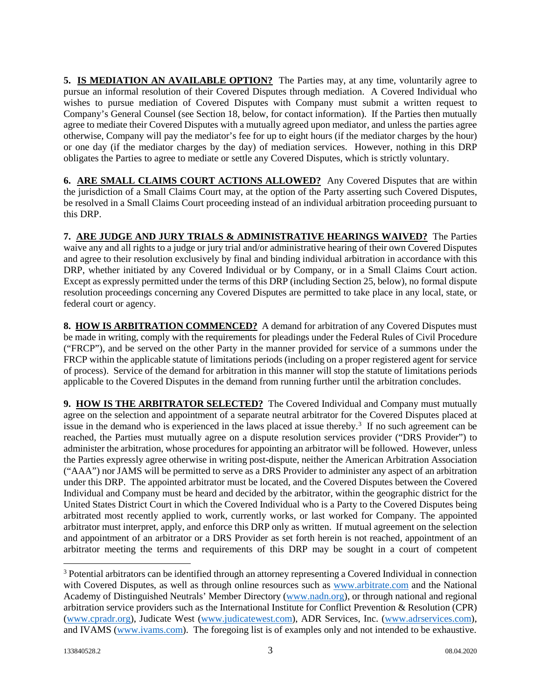**5. IS MEDIATION AN AVAILABLE OPTION?** The Parties may, at any time, voluntarily agree to pursue an informal resolution of their Covered Disputes through mediation. A Covered Individual who wishes to pursue mediation of Covered Disputes with Company must submit a written request to Company's General Counsel (see Section 18, below, for contact information). If the Parties then mutually agree to mediate their Covered Disputes with a mutually agreed upon mediator, and unless the parties agree otherwise, Company will pay the mediator's fee for up to eight hours (if the mediator charges by the hour) or one day (if the mediator charges by the day) of mediation services. However, nothing in this DRP obligates the Parties to agree to mediate or settle any Covered Disputes, which is strictly voluntary.

**6. ARE SMALL CLAIMS COURT ACTIONS ALLOWED?** Any Covered Disputes that are within the jurisdiction of a Small Claims Court may, at the option of the Party asserting such Covered Disputes, be resolved in a Small Claims Court proceeding instead of an individual arbitration proceeding pursuant to this DRP.

**7. ARE JUDGE AND JURY TRIALS & ADMINISTRATIVE HEARINGS WAIVED?** The Parties waive any and all rights to a judge or jury trial and/or administrative hearing of their own Covered Disputes and agree to their resolution exclusively by final and binding individual arbitration in accordance with this DRP, whether initiated by any Covered Individual or by Company, or in a Small Claims Court action. Except as expressly permitted under the terms of this DRP (including Section 25, below), no formal dispute resolution proceedings concerning any Covered Disputes are permitted to take place in any local, state, or federal court or agency.

**8. HOW IS ARBITRATION COMMENCED?** A demand for arbitration of any Covered Disputes must be made in writing, comply with the requirements for pleadings under the Federal Rules of Civil Procedure ("FRCP"), and be served on the other Party in the manner provided for service of a summons under the FRCP within the applicable statute of limitations periods (including on a proper registered agent for service of process). Service of the demand for arbitration in this manner will stop the statute of limitations periods applicable to the Covered Disputes in the demand from running further until the arbitration concludes.

**9. HOW IS THE ARBITRATOR SELECTED?** The Covered Individual and Company must mutually agree on the selection and appointment of a separate neutral arbitrator for the Covered Disputes placed at issue in the demand who is experienced in the laws placed at issue thereby. [3](#page-2-0) If no such agreement can be reached, the Parties must mutually agree on a dispute resolution services provider ("DRS Provider") to administer the arbitration, whose procedures for appointing an arbitrator will be followed. However, unless the Parties expressly agree otherwise in writing post-dispute, neither the American Arbitration Association ("AAA") nor JAMS will be permitted to serve as a DRS Provider to administer any aspect of an arbitration under this DRP. The appointed arbitrator must be located, and the Covered Disputes between the Covered Individual and Company must be heard and decided by the arbitrator, within the geographic district for the United States District Court in which the Covered Individual who is a Party to the Covered Disputes being arbitrated most recently applied to work, currently works, or last worked for Company. The appointed arbitrator must interpret, apply, and enforce this DRP only as written. If mutual agreement on the selection and appointment of an arbitrator or a DRS Provider as set forth herein is not reached, appointment of an arbitrator meeting the terms and requirements of this DRP may be sought in a court of competent

l

<span id="page-2-0"></span><sup>3</sup> Potential arbitrators can be identified through an attorney representing a Covered Individual in connection with Covered Disputes, as well as through online resources such as [www.arbitrate.com](http://www.arbitrate.com/) and the National Academy of Distinguished Neutrals' Member Directory [\(www.nadn.org\)](http://www.nadn.org/), or through national and regional arbitration service providers such as the International Institute for Conflict Prevention & Resolution (CPR) [\(www.cpradr.org\)](http://www.cpradr.org/), Judicate West [\(www.judicatewest.com\)](http://www.judicatewest.com/), ADR Services, Inc. [\(www.adrservices.com\)](http://www.adrservices.com/), and IVAMS [\(www.ivams.com\)](http://www.ivams.com/). The foregoing list is of examples only and not intended to be exhaustive.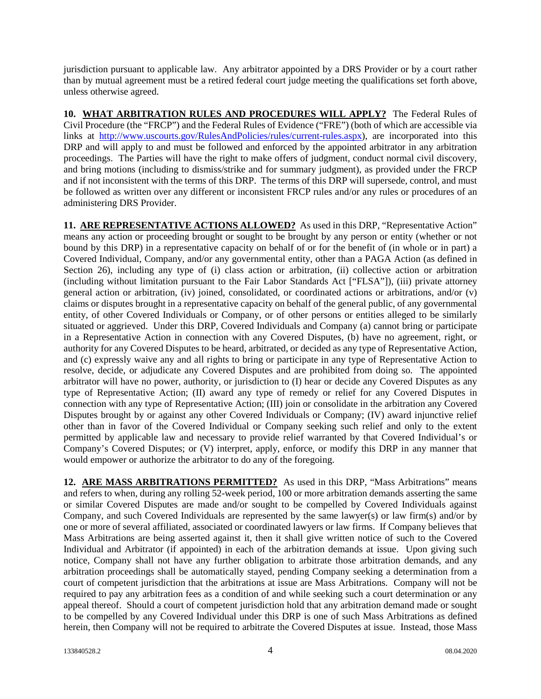jurisdiction pursuant to applicable law. Any arbitrator appointed by a DRS Provider or by a court rather than by mutual agreement must be a retired federal court judge meeting the qualifications set forth above, unless otherwise agreed.

**10. WHAT ARBITRATION RULES AND PROCEDURES WILL APPLY?** The Federal Rules of Civil Procedure (the "FRCP") and the Federal Rules of Evidence ("FRE") (both of which are accessible via links at [http://www.uscourts.gov/RulesAndPolicies/rules/current-rules.aspx\)](http://www.uscourts.gov/RulesAndPolicies/rules/current-rules.aspx), are incorporated into this DRP and will apply to and must be followed and enforced by the appointed arbitrator in any arbitration proceedings. The Parties will have the right to make offers of judgment, conduct normal civil discovery, and bring motions (including to dismiss/strike and for summary judgment), as provided under the FRCP and if not inconsistent with the terms of this DRP. The terms of this DRP will supersede, control, and must be followed as written over any different or inconsistent FRCP rules and/or any rules or procedures of an administering DRS Provider.

**11. ARE REPRESENTATIVE ACTIONS ALLOWED?** As used in this DRP, "Representative Action" means any action or proceeding brought or sought to be brought by any person or entity (whether or not bound by this DRP) in a representative capacity on behalf of or for the benefit of (in whole or in part) a Covered Individual, Company, and/or any governmental entity, other than a PAGA Action (as defined in Section 26), including any type of (i) class action or arbitration, (ii) collective action or arbitration (including without limitation pursuant to the Fair Labor Standards Act ["FLSA"]), (iii) private attorney general action or arbitration, (iv) joined, consolidated, or coordinated actions or arbitrations, and/or (v) claims or disputes brought in a representative capacity on behalf of the general public, of any governmental entity, of other Covered Individuals or Company, or of other persons or entities alleged to be similarly situated or aggrieved. Under this DRP, Covered Individuals and Company (a) cannot bring or participate in a Representative Action in connection with any Covered Disputes, (b) have no agreement, right, or authority for any Covered Disputes to be heard, arbitrated, or decided as any type of Representative Action, and (c) expressly waive any and all rights to bring or participate in any type of Representative Action to resolve, decide, or adjudicate any Covered Disputes and are prohibited from doing so. The appointed arbitrator will have no power, authority, or jurisdiction to (I) hear or decide any Covered Disputes as any type of Representative Action; (II) award any type of remedy or relief for any Covered Disputes in connection with any type of Representative Action; (III) join or consolidate in the arbitration any Covered Disputes brought by or against any other Covered Individuals or Company; (IV) award injunctive relief other than in favor of the Covered Individual or Company seeking such relief and only to the extent permitted by applicable law and necessary to provide relief warranted by that Covered Individual's or Company's Covered Disputes; or (V) interpret, apply, enforce, or modify this DRP in any manner that would empower or authorize the arbitrator to do any of the foregoing.

**12. ARE MASS ARBITRATIONS PERMITTED?** As used in this DRP, "Mass Arbitrations" means and refers to when, during any rolling 52-week period, 100 or more arbitration demands asserting the same or similar Covered Disputes are made and/or sought to be compelled by Covered Individuals against Company, and such Covered Individuals are represented by the same lawyer(s) or law firm(s) and/or by one or more of several affiliated, associated or coordinated lawyers or law firms. If Company believes that Mass Arbitrations are being asserted against it, then it shall give written notice of such to the Covered Individual and Arbitrator (if appointed) in each of the arbitration demands at issue. Upon giving such notice, Company shall not have any further obligation to arbitrate those arbitration demands, and any arbitration proceedings shall be automatically stayed, pending Company seeking a determination from a court of competent jurisdiction that the arbitrations at issue are Mass Arbitrations. Company will not be required to pay any arbitration fees as a condition of and while seeking such a court determination or any appeal thereof. Should a court of competent jurisdiction hold that any arbitration demand made or sought to be compelled by any Covered Individual under this DRP is one of such Mass Arbitrations as defined herein, then Company will not be required to arbitrate the Covered Disputes at issue. Instead, those Mass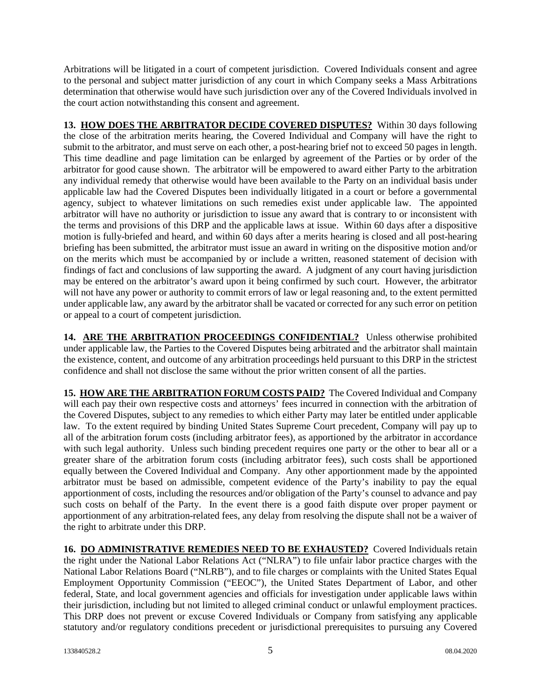Arbitrations will be litigated in a court of competent jurisdiction. Covered Individuals consent and agree to the personal and subject matter jurisdiction of any court in which Company seeks a Mass Arbitrations determination that otherwise would have such jurisdiction over any of the Covered Individuals involved in the court action notwithstanding this consent and agreement.

**13. HOW DOES THE ARBITRATOR DECIDE COVERED DISPUTES?** Within 30 days following the close of the arbitration merits hearing, the Covered Individual and Company will have the right to submit to the arbitrator, and must serve on each other, a post-hearing brief not to exceed 50 pages in length. This time deadline and page limitation can be enlarged by agreement of the Parties or by order of the arbitrator for good cause shown. The arbitrator will be empowered to award either Party to the arbitration any individual remedy that otherwise would have been available to the Party on an individual basis under applicable law had the Covered Disputes been individually litigated in a court or before a governmental agency, subject to whatever limitations on such remedies exist under applicable law. The appointed arbitrator will have no authority or jurisdiction to issue any award that is contrary to or inconsistent with the terms and provisions of this DRP and the applicable laws at issue. Within 60 days after a dispositive motion is fully-briefed and heard, and within 60 days after a merits hearing is closed and all post-hearing briefing has been submitted, the arbitrator must issue an award in writing on the dispositive motion and/or on the merits which must be accompanied by or include a written, reasoned statement of decision with findings of fact and conclusions of law supporting the award. A judgment of any court having jurisdiction may be entered on the arbitrator's award upon it being confirmed by such court. However, the arbitrator will not have any power or authority to commit errors of law or legal reasoning and, to the extent permitted under applicable law, any award by the arbitrator shall be vacated or corrected for any such error on petition or appeal to a court of competent jurisdiction.

**14. ARE THE ARBITRATION PROCEEDINGS CONFIDENTIAL?** Unless otherwise prohibited under applicable law, the Parties to the Covered Disputes being arbitrated and the arbitrator shall maintain the existence, content, and outcome of any arbitration proceedings held pursuant to this DRP in the strictest confidence and shall not disclose the same without the prior written consent of all the parties.

**15. HOW ARE THE ARBITRATION FORUM COSTS PAID?** The Covered Individual and Company will each pay their own respective costs and attorneys' fees incurred in connection with the arbitration of the Covered Disputes, subject to any remedies to which either Party may later be entitled under applicable law. To the extent required by binding United States Supreme Court precedent, Company will pay up to all of the arbitration forum costs (including arbitrator fees), as apportioned by the arbitrator in accordance with such legal authority. Unless such binding precedent requires one party or the other to bear all or a greater share of the arbitration forum costs (including arbitrator fees), such costs shall be apportioned equally between the Covered Individual and Company. Any other apportionment made by the appointed arbitrator must be based on admissible, competent evidence of the Party's inability to pay the equal apportionment of costs, including the resources and/or obligation of the Party's counsel to advance and pay such costs on behalf of the Party. In the event there is a good faith dispute over proper payment or apportionment of any arbitration-related fees, any delay from resolving the dispute shall not be a waiver of the right to arbitrate under this DRP.

**16. DO ADMINISTRATIVE REMEDIES NEED TO BE EXHAUSTED?** Covered Individuals retain the right under the National Labor Relations Act ("NLRA") to file unfair labor practice charges with the National Labor Relations Board ("NLRB"), and to file charges or complaints with the United States Equal Employment Opportunity Commission ("EEOC"), the United States Department of Labor, and other federal, State, and local government agencies and officials for investigation under applicable laws within their jurisdiction, including but not limited to alleged criminal conduct or unlawful employment practices. This DRP does not prevent or excuse Covered Individuals or Company from satisfying any applicable statutory and/or regulatory conditions precedent or jurisdictional prerequisites to pursuing any Covered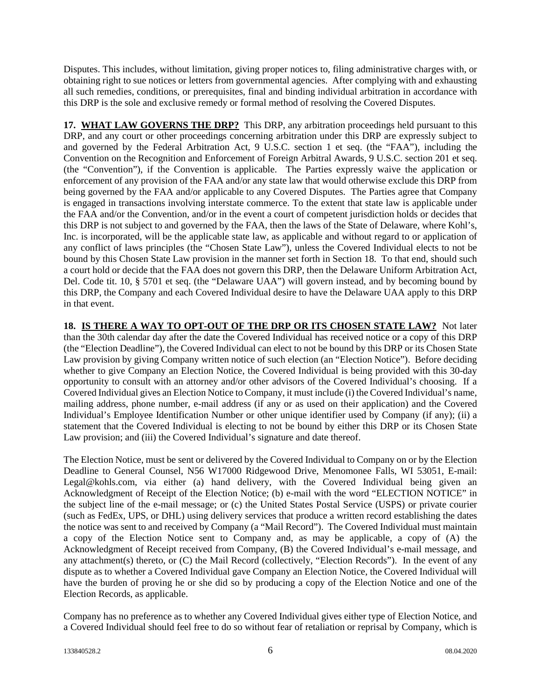Disputes. This includes, without limitation, giving proper notices to, filing administrative charges with, or obtaining right to sue notices or letters from governmental agencies. After complying with and exhausting all such remedies, conditions, or prerequisites, final and binding individual arbitration in accordance with this DRP is the sole and exclusive remedy or formal method of resolving the Covered Disputes.

17. WHAT LAW GOVERNS THE DRP? This DRP, any arbitration proceedings held pursuant to this DRP, and any court or other proceedings concerning arbitration under this DRP are expressly subject to and governed by the Federal Arbitration Act, 9 U.S.C. section 1 et seq. (the "FAA"), including the Convention on the Recognition and Enforcement of Foreign Arbitral Awards, 9 U.S.C. section 201 et seq. (the "Convention"), if the Convention is applicable. The Parties expressly waive the application or enforcement of any provision of the FAA and/or any state law that would otherwise exclude this DRP from being governed by the FAA and/or applicable to any Covered Disputes. The Parties agree that Company is engaged in transactions involving interstate commerce. To the extent that state law is applicable under the FAA and/or the Convention, and/or in the event a court of competent jurisdiction holds or decides that this DRP is not subject to and governed by the FAA, then the laws of the State of Delaware, where Kohl's, Inc. is incorporated, will be the applicable state law, as applicable and without regard to or application of any conflict of laws principles (the "Chosen State Law"), unless the Covered Individual elects to not be bound by this Chosen State Law provision in the manner set forth in Section 18. To that end, should such a court hold or decide that the FAA does not govern this DRP, then the Delaware Uniform Arbitration Act, Del. Code tit. 10, § 5701 et seq. (the "Delaware UAA") will govern instead, and by becoming bound by this DRP, the Company and each Covered Individual desire to have the Delaware UAA apply to this DRP in that event.

**18. IS THERE A WAY TO OPT-OUT OF THE DRP OR ITS CHOSEN STATE LAW?** Not later than the 30th calendar day after the date the Covered Individual has received notice or a copy of this DRP (the "Election Deadline"), the Covered Individual can elect to not be bound by this DRP or its Chosen State Law provision by giving Company written notice of such election (an "Election Notice"). Before deciding whether to give Company an Election Notice, the Covered Individual is being provided with this 30-day opportunity to consult with an attorney and/or other advisors of the Covered Individual's choosing. If a Covered Individual gives an Election Notice to Company, it must include (i) the Covered Individual's name, mailing address, phone number, e-mail address (if any or as used on their application) and the Covered Individual's Employee Identification Number or other unique identifier used by Company (if any); (ii) a statement that the Covered Individual is electing to not be bound by either this DRP or its Chosen State Law provision; and (iii) the Covered Individual's signature and date thereof.

The Election Notice, must be sent or delivered by the Covered Individual to Company on or by the Election Deadline to General Counsel, N56 W17000 Ridgewood Drive, Menomonee Falls, WI 53051, E-mail: Legal@kohls.com, via either (a) hand delivery, with the Covered Individual being given an Acknowledgment of Receipt of the Election Notice; (b) e-mail with the word "ELECTION NOTICE" in the subject line of the e-mail message; or (c) the United States Postal Service (USPS) or private courier (such as FedEx, UPS, or DHL) using delivery services that produce a written record establishing the dates the notice was sent to and received by Company (a "Mail Record"). The Covered Individual must maintain a copy of the Election Notice sent to Company and, as may be applicable, a copy of (A) the Acknowledgment of Receipt received from Company, (B) the Covered Individual's e-mail message, and any attachment(s) thereto, or (C) the Mail Record (collectively, "Election Records"). In the event of any dispute as to whether a Covered Individual gave Company an Election Notice, the Covered Individual will have the burden of proving he or she did so by producing a copy of the Election Notice and one of the Election Records, as applicable.

Company has no preference as to whether any Covered Individual gives either type of Election Notice, and a Covered Individual should feel free to do so without fear of retaliation or reprisal by Company, which is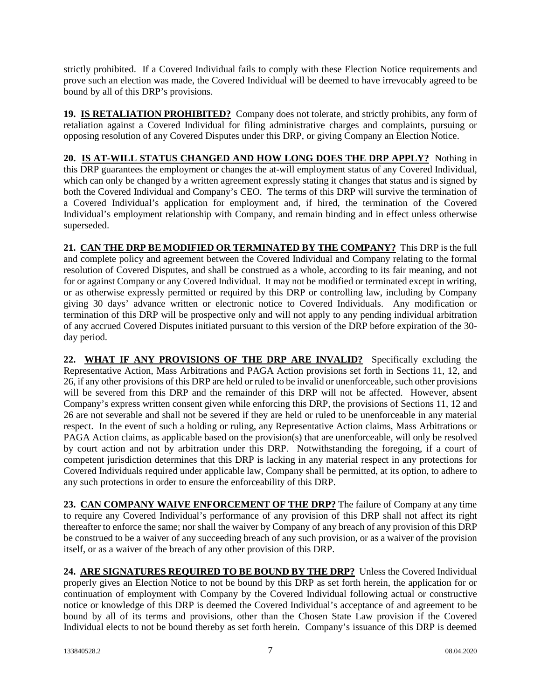strictly prohibited. If a Covered Individual fails to comply with these Election Notice requirements and prove such an election was made, the Covered Individual will be deemed to have irrevocably agreed to be bound by all of this DRP's provisions.

**19. IS RETALIATION PROHIBITED?** Company does not tolerate, and strictly prohibits, any form of retaliation against a Covered Individual for filing administrative charges and complaints, pursuing or opposing resolution of any Covered Disputes under this DRP, or giving Company an Election Notice.

**20. IS AT-WILL STATUS CHANGED AND HOW LONG DOES THE DRP APPLY?** Nothing in this DRP guarantees the employment or changes the at-will employment status of any Covered Individual, which can only be changed by a written agreement expressly stating it changes that status and is signed by both the Covered Individual and Company's CEO. The terms of this DRP will survive the termination of a Covered Individual's application for employment and, if hired, the termination of the Covered Individual's employment relationship with Company, and remain binding and in effect unless otherwise superseded.

**21. CAN THE DRP BE MODIFIED OR TERMINATED BY THE COMPANY?** This DRP is the full and complete policy and agreement between the Covered Individual and Company relating to the formal resolution of Covered Disputes, and shall be construed as a whole, according to its fair meaning, and not for or against Company or any Covered Individual. It may not be modified or terminated except in writing, or as otherwise expressly permitted or required by this DRP or controlling law, including by Company giving 30 days' advance written or electronic notice to Covered Individuals. Any modification or termination of this DRP will be prospective only and will not apply to any pending individual arbitration of any accrued Covered Disputes initiated pursuant to this version of the DRP before expiration of the 30 day period.

**22. WHAT IF ANY PROVISIONS OF THE DRP ARE INVALID?** Specifically excluding the Representative Action, Mass Arbitrations and PAGA Action provisions set forth in Sections 11, 12, and 26, if any other provisions of this DRP are held or ruled to be invalid or unenforceable, such other provisions will be severed from this DRP and the remainder of this DRP will not be affected. However, absent Company's express written consent given while enforcing this DRP, the provisions of Sections 11, 12 and 26 are not severable and shall not be severed if they are held or ruled to be unenforceable in any material respect. In the event of such a holding or ruling, any Representative Action claims, Mass Arbitrations or PAGA Action claims, as applicable based on the provision(s) that are unenforceable, will only be resolved by court action and not by arbitration under this DRP. Notwithstanding the foregoing, if a court of competent jurisdiction determines that this DRP is lacking in any material respect in any protections for Covered Individuals required under applicable law, Company shall be permitted, at its option, to adhere to any such protections in order to ensure the enforceability of this DRP.

**23. CAN COMPANY WAIVE ENFORCEMENT OF THE DRP?** The failure of Company at any time to require any Covered Individual's performance of any provision of this DRP shall not affect its right thereafter to enforce the same; nor shall the waiver by Company of any breach of any provision of this DRP be construed to be a waiver of any succeeding breach of any such provision, or as a waiver of the provision itself, or as a waiver of the breach of any other provision of this DRP.

**24. ARE SIGNATURES REQUIRED TO BE BOUND BY THE DRP?** Unless the Covered Individual properly gives an Election Notice to not be bound by this DRP as set forth herein, the application for or continuation of employment with Company by the Covered Individual following actual or constructive notice or knowledge of this DRP is deemed the Covered Individual's acceptance of and agreement to be bound by all of its terms and provisions, other than the Chosen State Law provision if the Covered Individual elects to not be bound thereby as set forth herein. Company's issuance of this DRP is deemed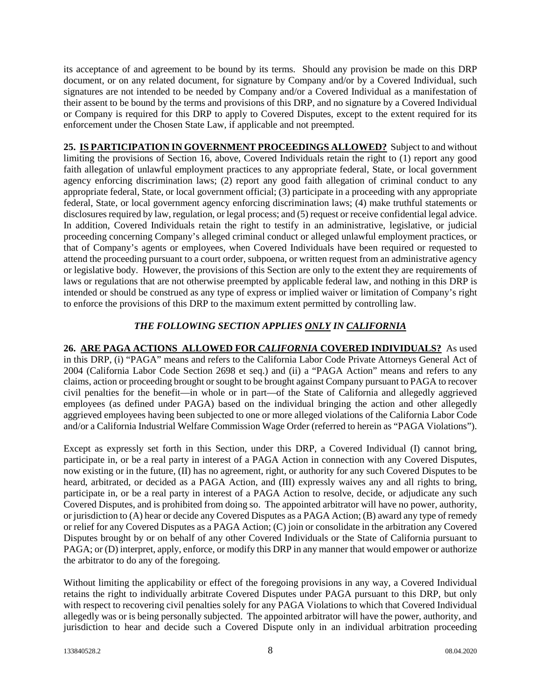its acceptance of and agreement to be bound by its terms. Should any provision be made on this DRP document, or on any related document, for signature by Company and/or by a Covered Individual, such signatures are not intended to be needed by Company and/or a Covered Individual as a manifestation of their assent to be bound by the terms and provisions of this DRP, and no signature by a Covered Individual or Company is required for this DRP to apply to Covered Disputes, except to the extent required for its enforcement under the Chosen State Law, if applicable and not preempted.

**25. IS PARTICIPATION IN GOVERNMENT PROCEEDINGS ALLOWED?** Subject to and without limiting the provisions of Section 16, above, Covered Individuals retain the right to (1) report any good faith allegation of unlawful employment practices to any appropriate federal, State, or local government agency enforcing discrimination laws; (2) report any good faith allegation of criminal conduct to any appropriate federal, State, or local government official; (3) participate in a proceeding with any appropriate federal, State, or local government agency enforcing discrimination laws; (4) make truthful statements or disclosures required by law, regulation, or legal process; and (5) request or receive confidential legal advice. In addition, Covered Individuals retain the right to testify in an administrative, legislative, or judicial proceeding concerning Company's alleged criminal conduct or alleged unlawful employment practices, or that of Company's agents or employees, when Covered Individuals have been required or requested to attend the proceeding pursuant to a court order, subpoena, or written request from an administrative agency or legislative body. However, the provisions of this Section are only to the extent they are requirements of laws or regulations that are not otherwise preempted by applicable federal law, and nothing in this DRP is intended or should be construed as any type of express or implied waiver or limitation of Company's right to enforce the provisions of this DRP to the maximum extent permitted by controlling law.

## *THE FOLLOWING SECTION APPLIES ONLY IN CALIFORNIA*

**26. ARE PAGA ACTIONS ALLOWED FOR** *CALIFORNIA* **COVERED INDIVIDUALS?** As used in this DRP, (i) "PAGA" means and refers to the California Labor Code Private Attorneys General Act of 2004 (California Labor Code Section 2698 et seq.) and (ii) a "PAGA Action" means and refers to any claims, action or proceeding brought or sought to be brought against Company pursuant to PAGA to recover civil penalties for the benefit—in whole or in part—of the State of California and allegedly aggrieved employees (as defined under PAGA) based on the individual bringing the action and other allegedly aggrieved employees having been subjected to one or more alleged violations of the California Labor Code and/or a California Industrial Welfare Commission Wage Order (referred to herein as "PAGA Violations").

Except as expressly set forth in this Section, under this DRP, a Covered Individual (I) cannot bring, participate in, or be a real party in interest of a PAGA Action in connection with any Covered Disputes, now existing or in the future, (II) has no agreement, right, or authority for any such Covered Disputes to be heard, arbitrated, or decided as a PAGA Action, and (III) expressly waives any and all rights to bring, participate in, or be a real party in interest of a PAGA Action to resolve, decide, or adjudicate any such Covered Disputes, and is prohibited from doing so. The appointed arbitrator will have no power, authority, or jurisdiction to (A) hear or decide any Covered Disputes as a PAGA Action; (B) award any type of remedy or relief for any Covered Disputes as a PAGA Action; (C) join or consolidate in the arbitration any Covered Disputes brought by or on behalf of any other Covered Individuals or the State of California pursuant to PAGA; or (D) interpret, apply, enforce, or modify this DRP in any manner that would empower or authorize the arbitrator to do any of the foregoing.

Without limiting the applicability or effect of the foregoing provisions in any way, a Covered Individual retains the right to individually arbitrate Covered Disputes under PAGA pursuant to this DRP, but only with respect to recovering civil penalties solely for any PAGA Violations to which that Covered Individual allegedly was or is being personally subjected. The appointed arbitrator will have the power, authority, and jurisdiction to hear and decide such a Covered Dispute only in an individual arbitration proceeding